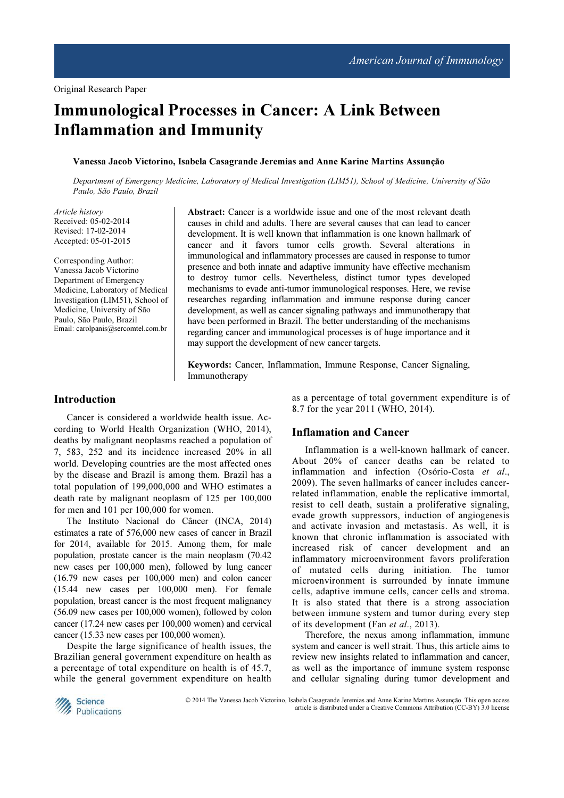# Immunological Processes in Cancer: A Link Between Inflammation and Immunity

### Vanessa Jacob Victorino, Isabela Casagrande Jeremias and Anne Karine Martins Assunção

Department of Emergency Medicine, Laboratory of Medical Investigation (LIM51), School of Medicine, University of São Paulo, São Paulo, Brazil

Article history Received: 05-02-2014 Revised: 17-02-2014 Accepted: 05-01-2015

Corresponding Author: Vanessa Jacob Victorino Department of Emergency Medicine, Laboratory of Medical Investigation (LIM51), School of Medicine, University of São Paulo, São Paulo, Brazil Email: carolpanis@sercomtel.com.br

Abstract: Cancer is a worldwide issue and one of the most relevant death causes in child and adults. There are several causes that can lead to cancer development. It is well known that inflammation is one known hallmark of cancer and it favors tumor cells growth. Several alterations in immunological and inflammatory processes are caused in response to tumor presence and both innate and adaptive immunity have effective mechanism to destroy tumor cells. Nevertheless, distinct tumor types developed mechanisms to evade anti-tumor immunological responses. Here, we revise researches regarding inflammation and immune response during cancer development, as well as cancer signaling pathways and immunotherapy that have been performed in Brazil. The better understanding of the mechanisms regarding cancer and immunological processes is of huge importance and it may support the development of new cancer targets.

Keywords: Cancer, Inflammation, Immune Response, Cancer Signaling, Immunotherapy

### Introduction

Cancer is considered a worldwide health issue. According to World Health Organization (WHO, 2014), deaths by malignant neoplasms reached a population of 7, 583, 252 and its incidence increased 20% in all world. Developing countries are the most affected ones by the disease and Brazil is among them. Brazil has a total population of 199,000,000 and WHO estimates a death rate by malignant neoplasm of 125 per 100,000 for men and 101 per 100,000 for women.

The Instituto Nacional do Câncer (INCA, 2014) estimates a rate of 576,000 new cases of cancer in Brazil for 2014, available for 2015. Among them, for male population, prostate cancer is the main neoplasm (70.42 new cases per 100,000 men), followed by lung cancer (16.79 new cases per 100,000 men) and colon cancer (15.44 new cases per 100,000 men). For female population, breast cancer is the most frequent malignancy (56.09 new cases per 100,000 women), followed by colon cancer (17.24 new cases per 100,000 women) and cervical cancer (15.33 new cases per 100,000 women).

Despite the large significance of health issues, the Brazilian general government expenditure on health as a percentage of total expenditure on health is of 45.7, while the general government expenditure on health

as a percentage of total government expenditure is of 8.7 for the year 2011 (WHO, 2014).

## Inflamation and Cancer

Inflammation is a well-known hallmark of cancer. About 20% of cancer deaths can be related to inflammation and infection (Osório-Costa et al., 2009). The seven hallmarks of cancer includes cancerrelated inflammation, enable the replicative immortal, resist to cell death, sustain a proliferative signaling, evade growth suppressors, induction of angiogenesis and activate invasion and metastasis. As well, it is known that chronic inflammation is associated with increased risk of cancer development and an inflammatory microenvironment favors proliferation of mutated cells during initiation. The tumor microenvironment is surrounded by innate immune cells, adaptive immune cells, cancer cells and stroma. It is also stated that there is a strong association between immune system and tumor during every step of its development (Fan et al., 2013).

Therefore, the nexus among inflammation, immune system and cancer is well strait. Thus, this article aims to review new insights related to inflammation and cancer, as well as the importance of immune system response and cellular signaling during tumor development and



 © 2014 The Vanessa Jacob Victorino, Isabela Casagrande Jeremias and Anne Karine Martins Assunção. This open access article is distributed under a Creative Commons Attribution (CC-BY) 3.0 license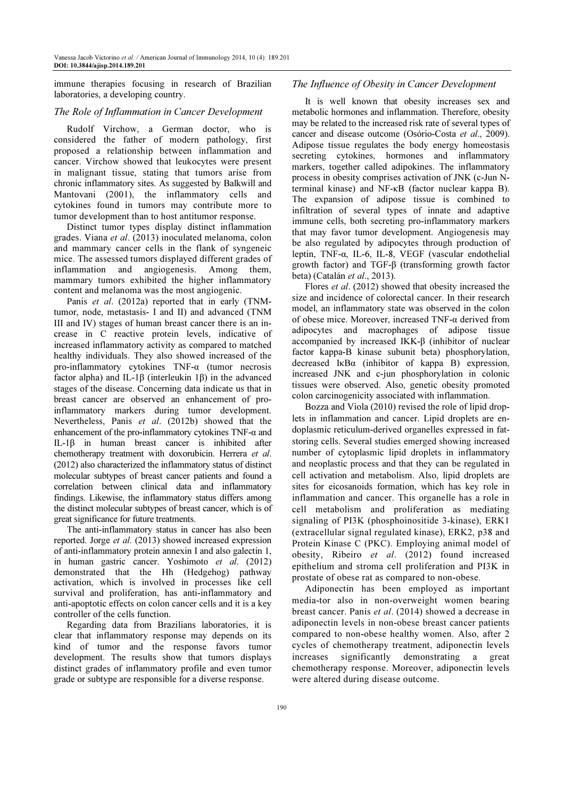immune therapies focusing in research of Brazilian laboratories, a developing country.

### The Role of Inflammation in Cancer Development

Rudolf Virchow, a German doctor, who is considered the father of modern pathology, first proposed a relationship between inflammation and cancer. Virchow showed that leukocytes were present in malignant tissue, stating that tumors arise from chronic inflammatory sites. As suggested by Balkwill and Mantovani (2001), the inflammatory cells and cytokines found in tumors may contribute more to tumor development than to host antitumor response.

Distinct tumor types display distinct inflammation grades. Viana et al. (2013) inoculated melanoma, colon and mammary cancer cells in the flank of syngeneic mice. The assessed tumors displayed different grades of inflammation and angiogenesis. Among them, mammary tumors exhibited the higher inflammatory content and melanoma was the most angiogenic.

Panis et al. (2012a) reported that in early (TNMtumor, node, metastasis- I and II) and advanced (TNM III and IV) stages of human breast cancer there is an increase in C reactive protein levels, indicative of increased inflammatory activity as compared to matched healthy individuals. They also showed increased of the pro-inflammatory cytokines TNF-α (tumor necrosis factor alpha) and IL-1β (interleukin 1β) in the advanced stages of the disease. Concerning data indicate us that in breast cancer are observed an enhancement of proinflammatory markers during tumor development. Nevertheless, Panis et al. (2012b) showed that the enhancement of the pro-inflammatory cytokines TNF-α and IL-1β in human breast cancer is inhibited after chemotherapy treatment with doxorubicin. Herrera et al. (2012) also characterized the inflammatory status of distinct molecular subtypes of breast cancer patients and found a correlation between clinical data and inflammatory findings. Likewise, the inflammatory status differs among the distinct molecular subtypes of breast cancer, which is of great significance for future treatments.

The anti-inflammatory status in cancer has also been reported. Jorge et al. (2013) showed increased expression of anti-inflammatory protein annexin I and also galectin 1, in human gastric cancer. Yoshimoto et al. (2012) demonstrated that the Hh (Hedgehog) pathway activation, which is involved in processes like cell survival and proliferation, has anti-inflammatory and anti-apoptotic effects on colon cancer cells and it is a key controller of the cells function.

Regarding data from Brazilians laboratories, it is clear that inflammatory response may depends on its kind of tumor and the response favors tumor development. The results show that tumors displays distinct grades of inflammatory profile and even tumor grade or subtype are responsible for a diverse response.

## The Influence of Obesity in Cancer Development

It is well known that obesity increases sex and metabolic hormones and inflammation. Therefore, obesity may be related to the increased risk rate of several types of cancer and disease outcome (Osório-Costa et al., 2009). Adipose tissue regulates the body energy homeostasis secreting cytokines, hormones and inflammatory markers, together called adipokines. The inflammatory process in obesity comprises activation of JNK (c-Jun Nterminal kinase) and NF-κB (factor nuclear kappa B). The expansion of adipose tissue is combined to infiltration of several types of innate and adaptive immune cells, both secreting pro-inflammatory markers that may favor tumor development. Angiogenesis may be also regulated by adipocytes through production of leptin, TNF-α, IL-6, IL-8, VEGF (vascular endothelial growth factor) and TGF-β (transforming growth factor beta) (Catalán et al., 2013).

Flores et al. (2012) showed that obesity increased the size and incidence of colorectal cancer. In their research model, an inflammatory state was observed in the colon of obese mice. Moreover, increased TNF-α derived from adipocytes and macrophages of adipose tissue accompanied by increased IKK-β (inhibitor of nuclear factor kappa-B kinase subunit beta) phosphorylation, decreased IκBα (inhibitor of kappa B) expression, increased JNK and c-jun phosphorylation in colonic tissues were observed. Also, genetic obesity promoted colon carcinogenicity associated with inflammation.

Bozza and Viola (2010) revised the role of lipid droplets in inflammation and cancer. Lipid droplets are endoplasmic reticulum-derived organelles expressed in fatstoring cells. Several studies emerged showing increased number of cytoplasmic lipid droplets in inflammatory and neoplastic process and that they can be regulated in cell activation and metabolism. Also, lipid droplets are sites for eicosanoids formation, which has key role in inflammation and cancer. This organelle has a role in cell metabolism and proliferation as mediating signaling of PI3K (phosphoinositide 3-kinase), ERK1 (extracellular signal regulated kinase), ERK2, p38 and Protein Kinase C (PKC). Employing animal model of obesity, Ribeiro et al. (2012) found increased epithelium and stroma cell proliferation and PI3K in prostate of obese rat as compared to non-obese.

Adiponectin has been employed as important media-tor also in non-overweight women bearing breast cancer. Panis et al. (2014) showed a decrease in adiponectin levels in non-obese breast cancer patients compared to non-obese healthy women. Also, after 2 cycles of chemotherapy treatment, adiponectin levels increases significantly demonstrating a great chemotherapy response. Moreover, adiponectin levels were altered during disease outcome.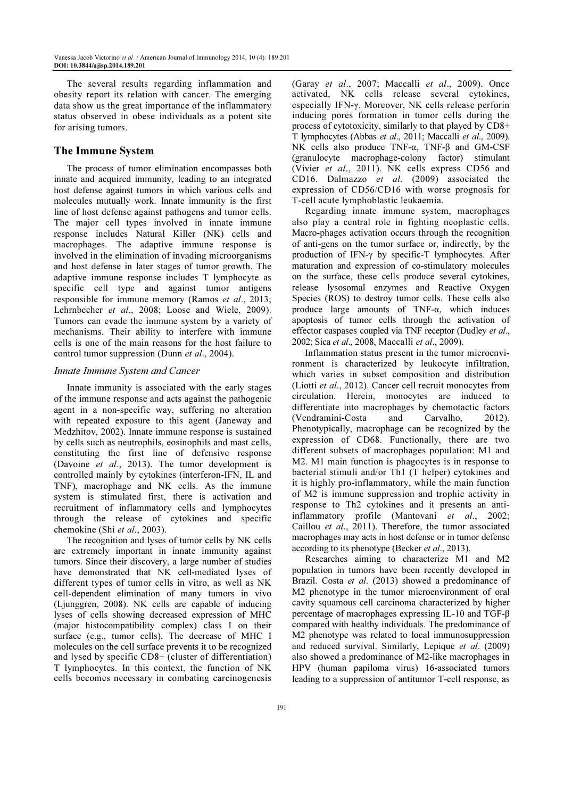The several results regarding inflammation and obesity report its relation with cancer. The emerging data show us the great importance of the inflammatory status observed in obese individuals as a potent site for arising tumors.

### The Immune System

The process of tumor elimination encompasses both innate and acquired immunity, leading to an integrated host defense against tumors in which various cells and molecules mutually work. Innate immunity is the first line of host defense against pathogens and tumor cells. The major cell types involved in innate immune response includes Natural Killer (NK) cells and macrophages. The adaptive immune response is involved in the elimination of invading microorganisms and host defense in later stages of tumor growth. The adaptive immune response includes T lymphocyte as specific cell type and against tumor antigens responsible for immune memory (Ramos et al., 2013; Lehrnbecher et al., 2008; Loose and Wiele, 2009). Tumors can evade the immune system by a variety of mechanisms. Their ability to interfere with immune cells is one of the main reasons for the host failure to control tumor suppression (Dunn et al., 2004).

### Innate Immune System and Cancer

Innate immunity is associated with the early stages of the immune response and acts against the pathogenic agent in a non-specific way, suffering no alteration with repeated exposure to this agent (Janeway and Medzhitov, 2002). Innate immune response is sustained by cells such as neutrophils, eosinophils and mast cells, constituting the first line of defensive response (Davoine et al., 2013). The tumor development is controlled mainly by cytokines (interferon-IFN, IL and TNF), macrophage and NK cells. As the immune system is stimulated first, there is activation and recruitment of inflammatory cells and lymphocytes through the release of cytokines and specific chemokine (Shi et al., 2003).

The recognition and lyses of tumor cells by NK cells are extremely important in innate immunity against tumors. Since their discovery, a large number of studies have demonstrated that NK cell-mediated lyses of different types of tumor cells in vitro, as well as NK cell-dependent elimination of many tumors in vivo (Ljunggren, 2008). NK cells are capable of inducing lyses of cells showing decreased expression of MHC (major histocompatibility complex) class I on their surface (e.g., tumor cells). The decrease of MHC I molecules on the cell surface prevents it to be recognized and lysed by specific CD8+ (cluster of differentiation) T lymphocytes. In this context, the function of NK cells becomes necessary in combating carcinogenesis

(Garay et al., 2007; Maccalli et al., 2009). Once activated, NK cells release several cytokines, especially IFN-γ. Moreover, NK cells release perforin inducing pores formation in tumor cells during the process of cytotoxicity, similarly to that played by CD8+ T lymphocytes (Abbas et al., 2011; Maccalli et al., 2009). NK cells also produce TNF-α, TNF-β and GM-CSF (granulocyte macrophage-colony factor) stimulant (Vivier et al., 2011). NK cells express CD56 and CD16. Dalmazzo et al. (2009) associated the expression of CD56/CD16 with worse prognosis for T-cell acute lymphoblastic leukaemia.

Regarding innate immune system, macrophages also play a central role in fighting neoplastic cells. Macro-phages activation occurs through the recognition of anti-gens on the tumor surface or, indirectly, by the production of IFN-γ by specific-T lymphocytes. After maturation and expression of co-stimulatory molecules on the surface, these cells produce several cytokines, release lysosomal enzymes and Reactive Oxygen Species (ROS) to destroy tumor cells. These cells also produce large amounts of TNF-α, which induces apoptosis of tumor cells through the activation of effector caspases coupled via TNF receptor (Dudley et al., 2002; Sica et al., 2008, Maccalli et al., 2009).

Inflammation status present in the tumor microenvironment is characterized by leukocyte infiltration, which varies in subset composition and distribution (Liotti et al., 2012). Cancer cell recruit monocytes from circulation. Herein, monocytes are induced to differentiate into macrophages by chemotactic factors (Vendramini-Costa and Carvalho, 2012). Phenotypically, macrophage can be recognized by the expression of CD68. Functionally, there are two different subsets of macrophages population: M1 and M2. M1 main function is phagocytes is in response to bacterial stimuli and/or Th1 (T helper) cytokines and it is highly pro-inflammatory, while the main function of M2 is immune suppression and trophic activity in response to Th2 cytokines and it presents an antiinflammatory profile (Mantovani et al., 2002; Caillou et al., 2011). Therefore, the tumor associated macrophages may acts in host defense or in tumor defense according to its phenotype (Becker et al., 2013).

Researches aiming to characterize M1 and M2 population in tumors have been recently developed in Brazil. Costa et al. (2013) showed a predominance of M2 phenotype in the tumor microenvironment of oral cavity squamous cell carcinoma characterized by higher percentage of macrophages expressing IL-10 and TGF-β compared with healthy individuals. The predominance of M2 phenotype was related to local immunosuppression and reduced survival. Similarly, Lepique et al. (2009) also showed a predominance of M2-like macrophages in HPV (human papiloma virus) 16-associated tumors leading to a suppression of antitumor T-cell response, as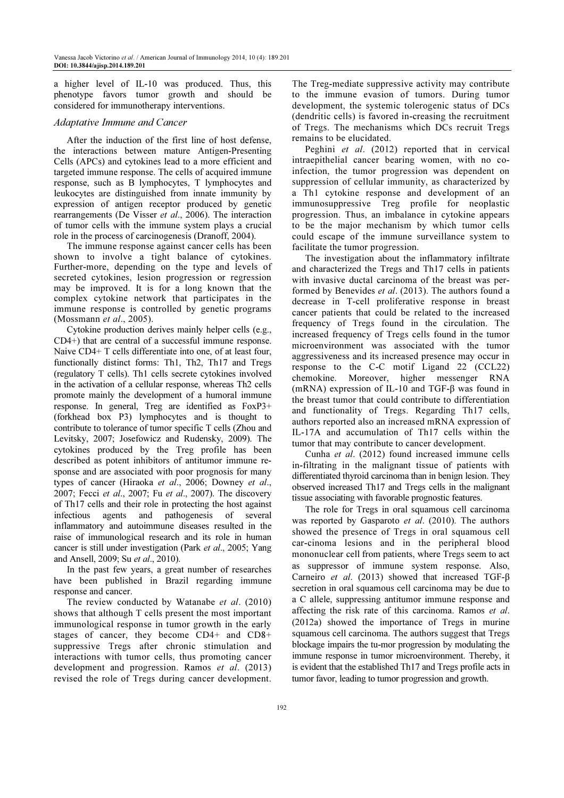a higher level of IL-10 was produced. Thus, this phenotype favors tumor growth and should be considered for immunotherapy interventions.

### Adaptative Immune and Cancer

After the induction of the first line of host defense, the interactions between mature Antigen-Presenting Cells (APCs) and cytokines lead to a more efficient and targeted immune response. The cells of acquired immune response, such as B lymphocytes, T lymphocytes and leukocytes are distinguished from innate immunity by expression of antigen receptor produced by genetic rearrangements (De Visser et al., 2006). The interaction of tumor cells with the immune system plays a crucial role in the process of carcinogenesis (Dranoff, 2004).

The immune response against cancer cells has been shown to involve a tight balance of cytokines. Further-more, depending on the type and levels of secreted cytokines, lesion progression or regression may be improved. It is for a long known that the complex cytokine network that participates in the immune response is controlled by genetic programs (Mossmann et al., 2005).

Cytokine production derives mainly helper cells (e.g., CD4+) that are central of a successful immune response. Naive CD4+ T cells differentiate into one, of at least four, functionally distinct forms: Th1, Th2, Th17 and Tregs (regulatory T cells). Th1 cells secrete cytokines involved in the activation of a cellular response, whereas Th2 cells promote mainly the development of a humoral immune response. In general, Treg are identified as FoxP3+ (forkhead box P3) lymphocytes and is thought to contribute to tolerance of tumor specific T cells (Zhou and Levitsky, 2007; Josefowicz and Rudensky, 2009). The cytokines produced by the Treg profile has been described as potent inhibitors of antitumor immune response and are associated with poor prognosis for many types of cancer (Hiraoka et al., 2006; Downey et al., 2007; Fecci et al., 2007; Fu et al., 2007). The discovery of Th17 cells and their role in protecting the host against infectious agents and pathogenesis of several inflammatory and autoimmune diseases resulted in the raise of immunological research and its role in human cancer is still under investigation (Park et al., 2005; Yang and Ansell, 2009; Su et al., 2010).

In the past few years, a great number of researches have been published in Brazil regarding immune response and cancer.

The review conducted by Watanabe et al. (2010) shows that although T cells present the most important immunological response in tumor growth in the early stages of cancer, they become CD4+ and CD8+ suppressive Tregs after chronic stimulation and interactions with tumor cells, thus promoting cancer development and progression. Ramos et al. (2013) revised the role of Tregs during cancer development.

The Treg-mediate suppressive activity may contribute to the immune evasion of tumors. During tumor development, the systemic tolerogenic status of DCs (dendritic cells) is favored in-creasing the recruitment of Tregs. The mechanisms which DCs recruit Tregs remains to be elucidated.

Peghini et al. (2012) reported that in cervical intraepithelial cancer bearing women, with no coinfection, the tumor progression was dependent on suppression of cellular immunity, as characterized by a Th1 cytokine response and development of an immunosuppressive Treg profile for neoplastic progression. Thus, an imbalance in cytokine appears to be the major mechanism by which tumor cells could escape of the immune surveillance system to facilitate the tumor progression.

The investigation about the inflammatory infiltrate and characterized the Tregs and Th17 cells in patients with invasive ductal carcinoma of the breast was performed by Benevides et al. (2013). The authors found a decrease in T-cell proliferative response in breast cancer patients that could be related to the increased frequency of Tregs found in the circulation. The increased frequency of Tregs cells found in the tumor microenvironment was associated with the tumor aggressiveness and its increased presence may occur in response to the C-C motif Ligand 22 (CCL22) chemokine. Moreover, higher messenger RNA (mRNA) expression of IL-10 and TGF-β was found in the breast tumor that could contribute to differentiation and functionality of Tregs. Regarding Th17 cells, authors reported also an increased mRNA expression of IL-17A and accumulation of Th17 cells within the tumor that may contribute to cancer development.

Cunha et al. (2012) found increased immune cells in-filtrating in the malignant tissue of patients with differentiated thyroid carcinoma than in benign lesion. They observed increased Th17 and Tregs cells in the malignant tissue associating with favorable prognostic features.

The role for Tregs in oral squamous cell carcinoma was reported by Gasparoto et al. (2010). The authors showed the presence of Tregs in oral squamous cell car-cinoma lesions and in the peripheral blood mononuclear cell from patients, where Tregs seem to act as suppressor of immune system response. Also, Carneiro et al. (2013) showed that increased TGF-β secretion in oral squamous cell carcinoma may be due to a C allele, suppressing antitumor immune response and affecting the risk rate of this carcinoma. Ramos et al. (2012a) showed the importance of Tregs in murine squamous cell carcinoma. The authors suggest that Tregs blockage impairs the tu-mor progression by modulating the immune response in tumor microenvironment. Thereby, it is evident that the established Th17 and Tregs profile acts in tumor favor, leading to tumor progression and growth.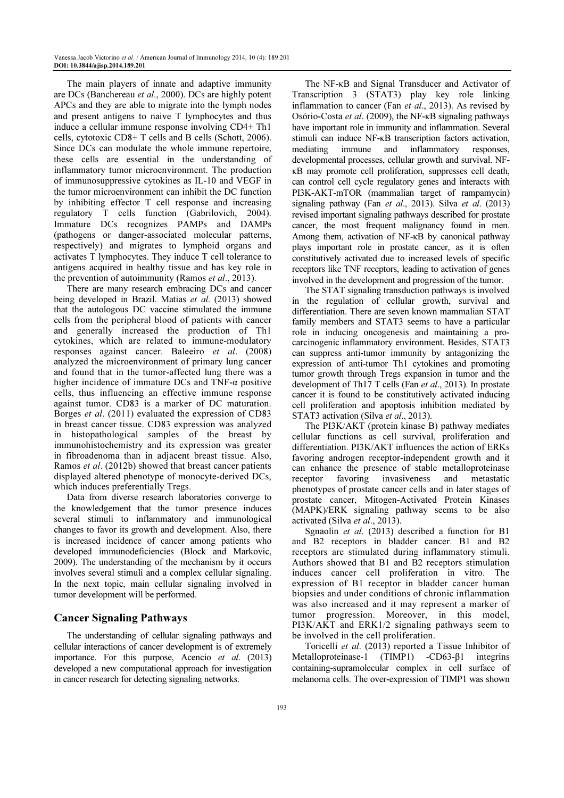The main players of innate and adaptive immunity are DCs (Banchereau et al., 2000). DCs are highly potent APCs and they are able to migrate into the lymph nodes and present antigens to naive T lymphocytes and thus induce a cellular immune response involving CD4+ Th1 cells, cytotoxic CD8+ T cells and B cells (Schott, 2006). Since DCs can modulate the whole immune repertoire, these cells are essential in the understanding of inflammatory tumor microenvironment. The production of immunosuppressive cytokines as IL-10 and VEGF in the tumor microenvironment can inhibit the DC function by inhibiting effector T cell response and increasing regulatory T cells function (Gabrilovich, 2004). Immature DCs recognizes PAMPs and DAMPs (pathogens or danger-associated molecular patterns, respectively) and migrates to lymphoid organs and activates T lymphocytes. They induce T cell tolerance to antigens acquired in healthy tissue and has key role in the prevention of autoimmunity (Ramos *et al.*, 2013).

There are many research embracing DCs and cancer being developed in Brazil. Matias et al. (2013) showed that the autologous DC vaccine stimulated the immune cells from the peripheral blood of patients with cancer and generally increased the production of Th1 cytokines, which are related to immune-modulatory responses against cancer. Baleeiro et al. (2008) analyzed the microenvironment of primary lung cancer and found that in the tumor-affected lung there was a higher incidence of immature DCs and TNF-α positive cells, thus influencing an effective immune response against tumor. CD83 is a marker of DC maturation. Borges et al. (2011) evaluated the expression of CD83 in breast cancer tissue. CD83 expression was analyzed in histopathological samples of the breast by immunohistochemistry and its expression was greater in fibroadenoma than in adjacent breast tissue. Also, Ramos et al. (2012b) showed that breast cancer patients displayed altered phenotype of monocyte-derived DCs, which induces preferentially Tregs.

Data from diverse research laboratories converge to the knowledgement that the tumor presence induces several stimuli to inflammatory and immunological changes to favor its growth and development. Also, there is increased incidence of cancer among patients who developed immunodeficiencies (Block and Markovic, 2009). The understanding of the mechanism by it occurs involves several stimuli and a complex cellular signaling. In the next topic, main cellular signaling involved in tumor development will be performed.

# Cancer Signaling Pathways

The understanding of cellular signaling pathways and cellular interactions of cancer development is of extremely importance. For this purpose, Acencio et al. (2013) developed a new computational approach for investigation in cancer research for detecting signaling networks.

The NF-κB and Signal Transducer and Activator of Transcription 3 (STAT3) play key role linking inflammation to cancer (Fan et al., 2013). As revised by Osório-Costa et al. (2009), the NF-κB signaling pathways have important role in immunity and inflammation. Several stimuli can induce NF-κB transcription factors activation, mediating immune and inflammatory responses, developmental processes, cellular growth and survival. NFκB may promote cell proliferation, suppresses cell death, can control cell cycle regulatory genes and interacts with PI3K-AKT-mTOR (mammalian target of rampamycin) signaling pathway (Fan et al., 2013). Silva et al. (2013) revised important signaling pathways described for prostate cancer, the most frequent malignancy found in men. Among them, activation of NF-κB by canonical pathway plays important role in prostate cancer, as it is often constitutively activated due to increased levels of specific receptors like TNF receptors, leading to activation of genes involved in the development and progression of the tumor.

The STAT signaling transduction pathways is involved in the regulation of cellular growth, survival and differentiation. There are seven known mammalian STAT family members and STAT3 seems to have a particular role in inducing oncogenesis and maintaining a procarcinogenic inflammatory environment. Besides, STAT3 can suppress anti-tumor immunity by antagonizing the expression of anti-tumor Th1 cytokines and promoting tumor growth through Tregs expansion in tumor and the development of Th17 T cells (Fan et al., 2013). In prostate cancer it is found to be constitutively activated inducing cell proliferation and apoptosis inhibition mediated by STAT3 activation (Silva et al., 2013).

The PI3K/AKT (protein kinase B) pathway mediates cellular functions as cell survival, proliferation and differentiation. PI3K/AKT influences the action of ERKs favoring androgen receptor-independent growth and it can enhance the presence of stable metalloproteinase receptor favoring invasiveness and metastatic phenotypes of prostate cancer cells and in later stages of prostate cancer, Mitogen-Activated Protein Kinases (MAPK)/ERK signaling pathway seems to be also activated (Silva et al., 2013).

Sgnaolin et al. (2013) described a function for B1 and B2 receptors in bladder cancer. B1 and B2 receptors are stimulated during inflammatory stimuli. Authors showed that B1 and B2 receptors stimulation induces cancer cell proliferation in vitro. The expression of B1 receptor in bladder cancer human biopsies and under conditions of chronic inflammation was also increased and it may represent a marker of tumor progression. Moreover, in this model, PI3K/AKT and ERK1/2 signaling pathways seem to be involved in the cell proliferation.

Toricelli et al. (2013) reported a Tissue Inhibitor of Metalloproteinase-1 (TIMP1) -CD63-β1 integrins containing-supramolecular complex in cell surface of melanoma cells. The over-expression of TIMP1 was shown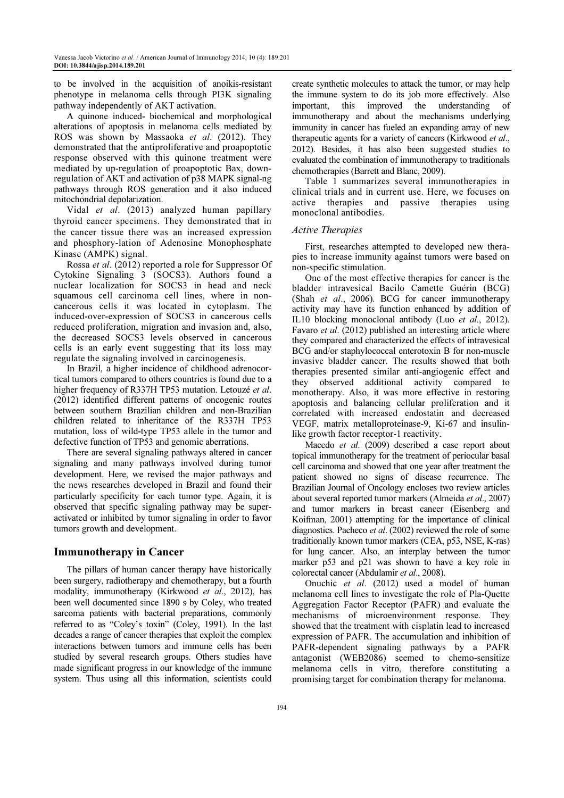to be involved in the acquisition of anoikis-resistant phenotype in melanoma cells through PI3K signaling pathway independently of AKT activation.

A quinone induced- biochemical and morphological alterations of apoptosis in melanoma cells mediated by ROS was shown by Massaoka et al. (2012). They demonstrated that the antiproliferative and proapoptotic response observed with this quinone treatment were mediated by up-regulation of proapoptotic Bax, downregulation of AKT and activation of p38 MAPK signal-ng pathways through ROS generation and it also induced mitochondrial depolarization.

Vidal et al. (2013) analyzed human papillary thyroid cancer specimens. They demonstrated that in the cancer tissue there was an increased expression and phosphory-lation of Adenosine Monophosphate Kinase (AMPK) signal.

Rossa et al. (2012) reported a role for Suppressor Of Cytokine Signaling 3 (SOCS3). Authors found a nuclear localization for SOCS3 in head and neck squamous cell carcinoma cell lines, where in noncancerous cells it was located in cytoplasm. The induced-over-expression of SOCS3 in cancerous cells reduced proliferation, migration and invasion and, also, the decreased SOCS3 levels observed in cancerous cells is an early event suggesting that its loss may regulate the signaling involved in carcinogenesis.

In Brazil, a higher incidence of childhood adrenocortical tumors compared to others countries is found due to a higher frequency of R337H TP53 mutation. Letouzé et al. (2012) identified different patterns of oncogenic routes between southern Brazilian children and non-Brazilian children related to inheritance of the R337H TP53 mutation, loss of wild-type TP53 allele in the tumor and defective function of TP53 and genomic aberrations.

There are several signaling pathways altered in cancer signaling and many pathways involved during tumor development. Here, we revised the major pathways and the news researches developed in Brazil and found their particularly specificity for each tumor type. Again, it is observed that specific signaling pathway may be superactivated or inhibited by tumor signaling in order to favor tumors growth and development.

# Immunotherapy in Cancer

The pillars of human cancer therapy have historically been surgery, radiotherapy and chemotherapy, but a fourth modality, immunotherapy (Kirkwood et al., 2012), has been well documented since 1890 s by Coley, who treated sarcoma patients with bacterial preparations, commonly referred to as "Coley's toxin" (Coley, 1991). In the last decades a range of cancer therapies that exploit the complex interactions between tumors and immune cells has been studied by several research groups. Others studies have made significant progress in our knowledge of the immune system. Thus using all this information, scientists could create synthetic molecules to attack the tumor, or may help the immune system to do its job more effectively. Also important, this improved the understanding of immunotherapy and about the mechanisms underlying immunity in cancer has fueled an expanding array of new therapeutic agents for a variety of cancers (Kirkwood et al., 2012). Besides, it has also been suggested studies to evaluated the combination of immunotherapy to traditionals chemotherapies (Barrett and Blanc, 2009).

Table 1 summarizes several immunotherapies in clinical trials and in current use. Here, we focuses on active therapies and passive therapies using monoclonal antibodies.

### Active Therapies

First, researches attempted to developed new therapies to increase immunity against tumors were based on non-specific stimulation.

One of the most effective therapies for cancer is the bladder intravesical Bacilo Camette Guérin (BCG) (Shah et al., 2006). BCG for cancer immunotherapy activity may have its function enhanced by addition of IL10 blocking monoclonal antibody (Luo et al., 2012). Favaro *et al.* (2012) published an interesting article where they compared and characterized the effects of intravesical BCG and/or staphylococcal enterotoxin B for non-muscle invasive bladder cancer. The results showed that both therapies presented similar anti-angiogenic effect and they observed additional activity compared to monotherapy. Also, it was more effective in restoring apoptosis and balancing cellular proliferation and it correlated with increased endostatin and decreased VEGF, matrix metalloproteinase-9, Ki-67 and insulinlike growth factor receptor-1 reactivity.

Macedo et al. (2009) described a case report about topical immunotherapy for the treatment of periocular basal cell carcinoma and showed that one year after treatment the patient showed no signs of disease recurrence. The Brazilian Journal of Oncology encloses two review articles about several reported tumor markers (Almeida et al., 2007) and tumor markers in breast cancer (Eisenberg and Koifman, 2001) attempting for the importance of clinical diagnostics. Pacheco *et al.* (2002) reviewed the role of some traditionally known tumor markers (CEA, p53, NSE, K-ras) for lung cancer. Also, an interplay between the tumor marker p53 and p21 was shown to have a key role in colorectal cancer (Abdulamir et al., 2008).

Onuchic et al. (2012) used a model of human melanoma cell lines to investigate the role of Pla-Quette Aggregation Factor Receptor (PAFR) and evaluate the mechanisms of microenvironment response. They showed that the treatment with cisplatin lead to increased expression of PAFR. The accumulation and inhibition of PAFR-dependent signaling pathways by a PAFR antagonist (WEB2086) seemed to chemo-sensitize melanoma cells in vitro, therefore constituting a promising target for combination therapy for melanoma.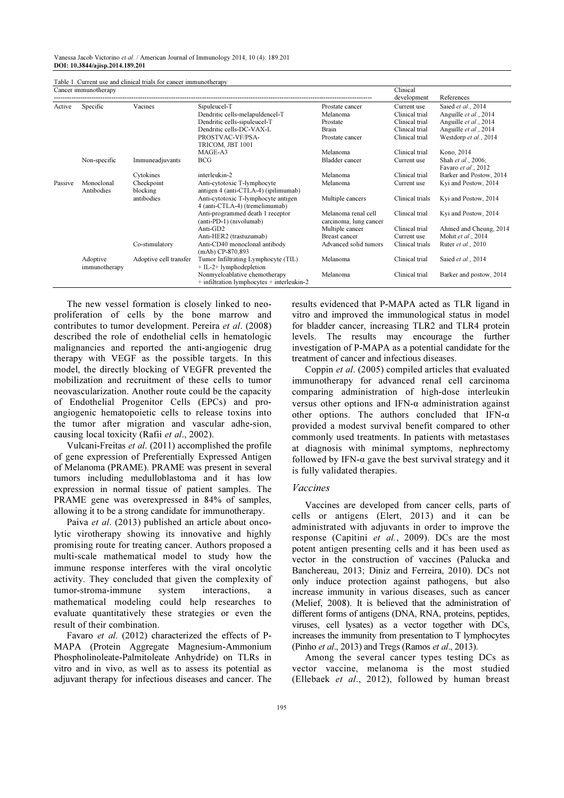Vanessa Jacob Victorino et al. / American Journal of Immunology 2014, 10 (4): 189.201 DOI: 10.3844/ajisp.2014.189.201

| Table 1. Current use and clinical trials for cancer immunotherapy |               |                        |                                                |                        |                 |                            |
|-------------------------------------------------------------------|---------------|------------------------|------------------------------------------------|------------------------|-----------------|----------------------------|
| Cancer immunotherapy                                              |               |                        |                                                |                        | Clinical        |                            |
|                                                                   |               |                        |                                                |                        | development     | References                 |
| Active                                                            | Specific      | Vacines                | Sipuleucel-T                                   | Prostate cancer        | Current use     | Saied et al., 2014         |
|                                                                   |               |                        | Dendritic cells-melapuldencel-T                | Melanoma               | Clinical trial  | Anguille et al., 2014      |
|                                                                   |               |                        | Dendritic cells-sipuleucel-T                   | Prostate               | Clinical trial  | Anguille et al., 2014      |
|                                                                   |               |                        | Dendritic cells-DC-VAX-L                       | Brain                  | Clinical trial  | Anguille et al., 2014      |
|                                                                   |               |                        | PROSTVAC-VF/PSA-                               | Prostate cancer        | Clinical trial  | Westdorp et al., 2014      |
|                                                                   |               |                        | TRICOM, JBT 1001                               |                        |                 |                            |
|                                                                   |               |                        | MAGE-A3                                        | Melanoma               | Clinical trial  | Kono, 2014                 |
|                                                                   | Non-specific  | Immuneadjuvants        | <b>BCG</b>                                     | <b>Bladder</b> cancer  | Current use     | Shah et al., 2006;         |
|                                                                   |               |                        |                                                |                        |                 | Favaro et al., 2012        |
|                                                                   |               | Cytokines              | interleukin-2                                  | Melanoma               | Clinical trial  | Barker and Postow, 2014    |
| Passive                                                           | Monoclonal    | Checkpoint             | Anti-cytotoxic T-lymphocyte                    | Melanoma               | Current use     | Kyi and Postow, 2014       |
|                                                                   | Antibodies    | blocking               | antigen 4 (anti-CTLA-4) (ipilimumab)           |                        |                 |                            |
|                                                                   |               | antibodies             | Anti-cytotoxic T-lymphocyte antigen            | Multiple cancers       | Clinical trials | Kyi and Postow, 2014       |
|                                                                   |               |                        | 4 (anti-CTLA-4) (tremelimumab)                 |                        |                 |                            |
|                                                                   |               |                        | Anti-programmed death 1 receptor               | Melanoma renal cell    | Clinical trial  | Kyi and Postow, 2014       |
|                                                                   |               |                        | (anti-PD-1) (nivolumab)                        | carcinoma, lung cancer |                 |                            |
|                                                                   |               |                        | Anti-GD2                                       | Multiple cancer        | Clinical trial  | Ahmed and Cheung, 2014     |
|                                                                   |               |                        | Anti-HER2 (trastuzumab)                        | <b>Breast cancer</b>   | Current use     | Mohit et al., 2014         |
|                                                                   |               | Co-stimulatory         | Anti-CD40 monoclonal antibody                  | Advanced solid tumors  | Clinical trials | Ruter <i>et al.</i> , 2010 |
|                                                                   |               |                        | $(mAb)$ CP-870,893                             |                        |                 |                            |
|                                                                   | Adoptive      | Adoptive cell transfer | Tumor Infiltrating Lymphocyte (TIL)            | Melanoma               | Clinical trial  | Saied et al., 2014         |
|                                                                   | immunotherapy |                        | $+$ IL-2+ lymphodepletion                      |                        |                 |                            |
|                                                                   |               |                        | Nonmyeloablative chemotherapy                  | Melanoma               | Clinical trial  | Barker and postow, 2014    |
|                                                                   |               |                        | $+$ infiltration lymphocytes $+$ interleukin-2 |                        |                 |                            |

The new vessel formation is closely linked to neoproliferation of cells by the bone marrow and contributes to tumor development. Pereira et al. (2008) described the role of endothelial cells in hematologic malignancies and reported the anti-angiogenic drug therapy with VEGF as the possible targets. In this model, the directly blocking of VEGFR prevented the mobilization and recruitment of these cells to tumor neovascularization. Another route could be the capacity of Endothelial Progenitor Cells (EPCs) and proangiogenic hematopoietic cells to release toxins into the tumor after migration and vascular adhe-sion, causing local toxicity (Rafii et al., 2002).

Vulcani-Freitas et al. (2011) accomplished the profile of gene expression of Preferentially Expressed Antigen of Melanoma (PRAME). PRAME was present in several tumors including medulloblastoma and it has low expression in normal tissue of patient samples. The PRAME gene was overexpressed in 84% of samples, allowing it to be a strong candidate for immunotherapy.

Paiva et al. (2013) published an article about oncolytic virotherapy showing its innovative and highly promising route for treating cancer. Authors proposed a multi-scale mathematical model to study how the immune response interferes with the viral oncolytic activity. They concluded that given the complexity of tumor-stroma-immune system interactions, a mathematical modeling could help researches to evaluate quantitatively these strategies or even the result of their combination.

Favaro et al. (2012) characterized the effects of P-MAPA (Protein Aggregate Magnesium-Ammonium Phospholinoleate-Palmitoleate Anhydride) on TLRs in vitro and in vivo, as well as to assess its potential as adjuvant therapy for infectious diseases and cancer. The results evidenced that P-MAPA acted as TLR ligand in vitro and improved the immunological status in model for bladder cancer, increasing TLR2 and TLR4 protein levels. The results may encourage the further investigation of P-MAPA as a potential candidate for the treatment of cancer and infectious diseases.

Coppin et al. (2005) compiled articles that evaluated immunotherapy for advanced renal cell carcinoma comparing administration of high-dose interleukin versus other options and IFN-α administration against other options. The authors concluded that IFN- $\alpha$ provided a modest survival benefit compared to other commonly used treatments. In patients with metastases at diagnosis with minimal symptoms, nephrectomy followed by IFN- $\alpha$  gave the best survival strategy and it is fully validated therapies.

#### Vaccines

Vaccines are developed from cancer cells, parts of cells or antigens (Elert, 2013) and it can be administrated with adjuvants in order to improve the response (Capitini et al., 2009). DCs are the most potent antigen presenting cells and it has been used as vector in the construction of vaccines (Palucka and Banchereau, 2013; Diniz and Ferreira, 2010). DCs not only induce protection against pathogens, but also increase immunity in various diseases, such as cancer (Melief, 2008). It is believed that the administration of different forms of antigens (DNA, RNA, proteins, peptides, viruses, cell lysates) as a vector together with DCs, increases the immunity from presentation to T lymphocytes (Pinho et al., 2013) and Tregs (Ramos et al., 2013).

Among the several cancer types testing DCs as vector vaccine, melanoma is the most studied (Ellebaek et al., 2012), followed by human breast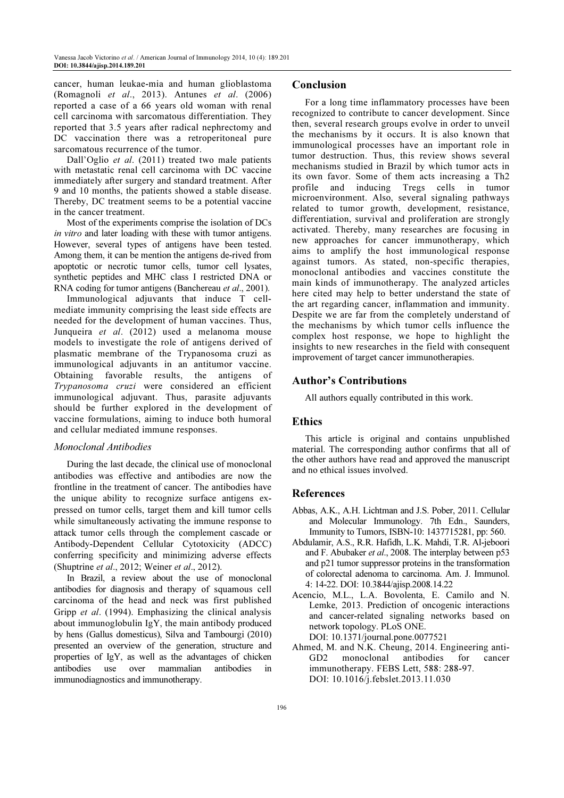cancer, human leukae-mia and human glioblastoma (Romagnoli et al., 2013). Antunes et al. (2006) reported a case of a 66 years old woman with renal cell carcinoma with sarcomatous differentiation. They reported that 3.5 years after radical nephrectomy and DC vaccination there was a retroperitoneal pure sarcomatous recurrence of the tumor.

Dall'Oglio et al. (2011) treated two male patients with metastatic renal cell carcinoma with DC vaccine immediately after surgery and standard treatment. After 9 and 10 months, the patients showed a stable disease. Thereby, DC treatment seems to be a potential vaccine in the cancer treatment.

Most of the experiments comprise the isolation of DCs in vitro and later loading with these with tumor antigens. However, several types of antigens have been tested. Among them, it can be mention the antigens de-rived from apoptotic or necrotic tumor cells, tumor cell lysates, synthetic peptides and MHC class I restricted DNA or RNA coding for tumor antigens (Banchereau et al., 2001).

Immunological adjuvants that induce T cellmediate immunity comprising the least side effects are needed for the development of human vaccines. Thus, Junqueira et al. (2012) used a melanoma mouse models to investigate the role of antigens derived of plasmatic membrane of the Trypanosoma cruzi as immunological adjuvants in an antitumor vaccine. Obtaining favorable results, the antigens of Trypanosoma cruzi were considered an efficient immunological adjuvant. Thus, parasite adjuvants should be further explored in the development of vaccine formulations, aiming to induce both humoral and cellular mediated immune responses.

### Monoclonal Antibodies

During the last decade, the clinical use of monoclonal antibodies was effective and antibodies are now the frontline in the treatment of cancer. The antibodies have the unique ability to recognize surface antigens expressed on tumor cells, target them and kill tumor cells while simultaneously activating the immune response to attack tumor cells through the complement cascade or Antibody-Dependent Cellular Cytotoxicity (ADCC) conferring specificity and minimizing adverse effects (Shuptrine et al., 2012; Weiner et al., 2012).

In Brazil, a review about the use of monoclonal antibodies for diagnosis and therapy of squamous cell carcinoma of the head and neck was first published Gripp *et al.* (1994). Emphasizing the clinical analysis about immunoglobulin IgY, the main antibody produced by hens (Gallus domesticus), Silva and Tambourgi (2010) presented an overview of the generation, structure and properties of IgY, as well as the advantages of chicken antibodies use over mammalian antibodies in immunodiagnostics and immunotherapy.

### Conclusion

For a long time inflammatory processes have been recognized to contribute to cancer development. Since then, several research groups evolve in order to unveil the mechanisms by it occurs. It is also known that immunological processes have an important role in tumor destruction. Thus, this review shows several mechanisms studied in Brazil by which tumor acts in its own favor. Some of them acts increasing a Th2 profile and inducing Tregs cells in tumor microenvironment. Also, several signaling pathways related to tumor growth, development, resistance, differentiation, survival and proliferation are strongly activated. Thereby, many researches are focusing in new approaches for cancer immunotherapy, which aims to amplify the host immunological response against tumors. As stated, non-specific therapies, monoclonal antibodies and vaccines constitute the main kinds of immunotherapy. The analyzed articles here cited may help to better understand the state of the art regarding cancer, inflammation and immunity. Despite we are far from the completely understand of the mechanisms by which tumor cells influence the complex host response, we hope to highlight the insights to new researches in the field with consequent improvement of target cancer immunotherapies.

### Author's Contributions

All authors equally contributed in this work.

### **Ethics**

This article is original and contains unpublished material. The corresponding author confirms that all of the other authors have read and approved the manuscript and no ethical issues involved.

### References

- Abbas, A.K., A.H. Lichtman and J.S. Pober, 2011. Cellular and Molecular Immunology. 7th Edn., Saunders, Immunity to Tumors, ISBN-10: 1437715281, pp: 560.
- Abdulamir, A.S., R.R. Hafidh, L.K. Mahdi, T.R. Al-jeboori and F. Abubaker et al., 2008. The interplay between p53 and p21 tumor suppressor proteins in the transformation of colorectal adenoma to carcinoma. Am. J. Immunol. 4: 14-22. DOI: 10.3844/ajisp.2008.14.22
- Acencio, M.L., L.A. Bovolenta, E. Camilo and N. Lemke, 2013. Prediction of oncogenic interactions and cancer-related signaling networks based on network topology. PLoS ONE. DOI: 10.1371/journal.pone.0077521
- Ahmed, M. and N.K. Cheung, 2014. Engineering anti-GD2 monoclonal antibodies for cancer immunotherapy. FEBS Lett, 588: 288-97. DOI: 10.1016/j.febslet.2013.11.030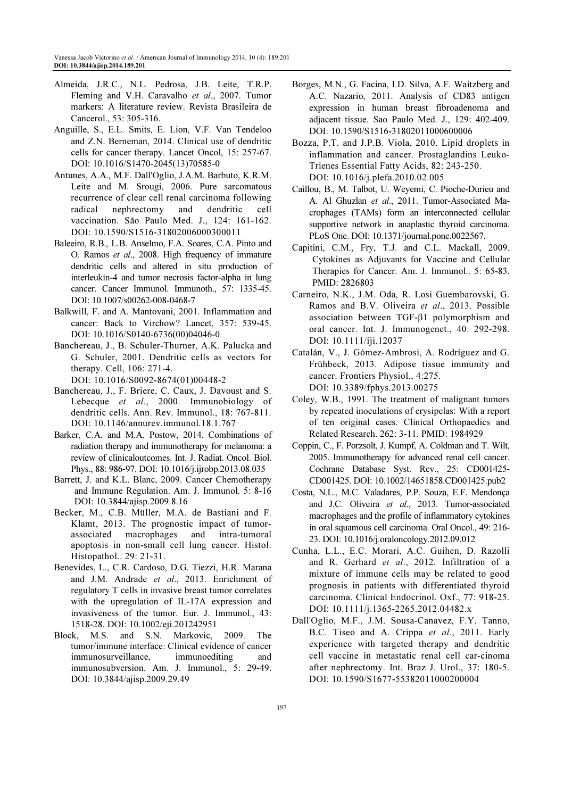- Almeida, J.R.C., N.L. Pedrosa, J.B. Leite, T.R.P. Fleming and V.H. Caravalho et al., 2007. Tumor markers: A literature review. Revista Brasileira de Cancerol., 53: 305-316.
- Anguille, S., E.L. Smits, E. Lion, V.F. Van Tendeloo and Z.N. Berneman, 2014. Clinical use of dendritic cells for cancer therapy. Lancet Oncol, 15: 257-67. DOI: 10.1016/S1470-2045(13)70585-0
- Antunes, A.A., M.F. Dall'Oglio, J.A.M. Barbuto, K.R.M. Leite and M. Srougi, 2006. Pure sarcomatous recurrence of clear cell renal carcinoma following radical nephrectomy and dendritic cell vaccination. São Paulo Med. J., 124: 161-162. DOI: 10.1590/S1516-31802006000300011
- Baleeiro, R.B., L.B. Anselmo, F.A. Soares, C.A. Pinto and O. Ramos et al., 2008. High frequency of immature dendritic cells and altered in situ production of interleukin-4 and tumor necrosis factor-alpha in lung cancer. Cancer Immunol. Immunoth., 57: 1335-45. DOI: 10.1007/s00262-008-0468-7
- Balkwill, F. and A. Mantovani, 2001. Inflammation and cancer: Back to Virchow? Lancet, 357: 539-45. DOI: 10.1016/S0140-6736(00)04046-0
- Banchereau, J., B. Schuler-Thurner, A.K. Palucka and G. Schuler, 2001. Dendritic cells as vectors for therapy. Cell, 106: 271-4.
	- DOI: 10.1016/S0092-8674(01)00448-2
- Banchereau, J., F. Briere, C. Caux, J. Davoust and S. Lebecque et al., 2000. Immunobiology of dendritic cells. Ann. Rev. Immunol., 18: 767-811. DOI: 10.1146/annurev.immunol.18.1.767
- Barker, C.A. and M.A. Postow, 2014. Combinations of radiation therapy and immunotherapy for melanoma: a review of clinicaloutcomes. Int. J. Radiat. Oncol. Biol. Phys., 88: 986-97. DOI: 10.1016/j.ijrobp.2013.08.035
- Barrett, J. and K.L. Blanc, 2009. Cancer Chemotherapy and Immune Regulation. Am. J. Immunol. 5: 8-16 DOI: 10.3844/ajisp.2009.8.16
- Becker, M., C.B. Müller, M.A. de Bastiani and F. Klamt, 2013. The prognostic impact of tumorassociated macrophages and intra-tumoral apoptosis in non-small cell lung cancer. Histol. Histopathol.. 29: 21-31.
- Benevides, L., C.R. Cardoso, D.G. Tiezzi, H.R. Marana and J.M. Andrade et al., 2013. Enrichment of regulatory T cells in invasive breast tumor correlates with the upregulation of IL-17A expression and invasiveness of the tumor. Eur. J. Immunol., 43: 1518-28. DOI: 10.1002/eji.201242951
- Block, M.S. and S.N. Markovic, 2009. The tumor/immune interface: Clinical evidence of cancer immunosurveillance, immunoediting and immunosubversion. Am. J. Immunol., 5: 29-49. DOI: 10.3844/ajisp.2009.29.49
- Borges, M.N., G. Facina, I.D. Silva, A.F. Waitzberg and A.C. Nazario, 2011. Analysis of CD83 antigen expression in human breast fibroadenoma and adjacent tissue. Sao Paulo Med. J., 129: 402-409. DOI: 10.1590/S1516-31802011000600006
- Bozza, P.T. and J.P.B. Viola, 2010. Lipid droplets in inflammation and cancer. Prostaglandins Leuko-Trienes Essential Fatty Acids, 82: 243-250. DOI: 10.1016/j.plefa.2010.02.005
- Caillou, B., M. Talbot, U. Weyemi, C. Pioche-Durieu and A. Al Ghuzlan et al., 2011. Tumor-Associated Macrophages (TAMs) form an interconnected cellular supportive network in anaplastic thyroid carcinoma. PLoS One. DOI: 10.1371/journal.pone.0022567.
- Capitini, C.M., Fry, T.J. and C.L. Mackall, 2009. Cytokines as Adjuvants for Vaccine and Cellular Therapies for Cancer. Am. J. Immunol.. 5: 65-83. PMID: 2826803
- Carneiro, N.K., J.M. Oda, R. Losi Guembarovski, G. Ramos and B.V. Oliveira et al., 2013. Possible association between TGF-β1 polymorphism and oral cancer. Int. J. Immunogenet., 40: 292-298. DOI: 10.1111/iji.12037
- Catalán, V., J. Gómez-Ambrosi, A. Rodríguez and G. Frühbeck, 2013. Adipose tissue immunity and cancer. Frontiers Physiol., 4:275. DOI: 10.3389/fphys.2013.00275
- Coley, W.B., 1991. The treatment of malignant tumors by repeated inoculations of erysipelas: With a report of ten original cases. Clinical Orthopaedics and Related Research. 262: 3-11. PMID: 1984929
- Coppin, C., F. Porzsolt, J. Kumpf, A. Coldman and T. Wilt, 2005. Immunotherapy for advanced renal cell cancer. Cochrane Database Syst. Rev., 25: CD001425- CD001425. DOI: 10.1002/14651858.CD001425.pub2
- Costa, N.L., M.C. Valadares, P.P. Souza, E.F. Mendonça and J.C. Oliveira et al., 2013. Tumor-associated macrophages and the profile of inflammatory cytokines in oral squamous cell carcinoma. Oral Oncol., 49: 216- 23. DOI: 10.1016/j.oraloncology.2012.09.012
- Cunha, L.L., E.C. Morari, A.C. Guihen, D. Razolli and R. Gerhard et al., 2012. Infiltration of a mixture of immune cells may be related to good prognosis in patients with differentiated thyroid carcinoma. Clinical Endocrinol. Oxf., 77: 918-25. DOI: 10.1111/j.1365-2265.2012.04482.x
- Dall'Oglio, M.F., J.M. Sousa-Canavez, F.Y. Tanno, B.C. Tiseo and A. Crippa et al., 2011. Early experience with targeted therapy and dendritic cell vaccine in metastatic renal cell car-cinoma after nephrectomy. Int. Braz J. Urol., 37: 180-5. DOI: 10.1590/S1677-55382011000200004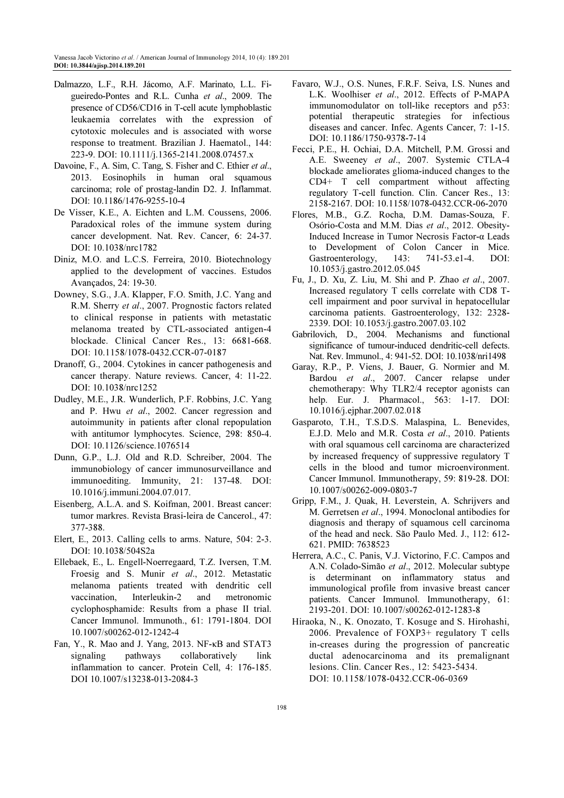- Dalmazzo, L.F., R.H. Jácomo, A.F. Marinato, L.L. Figueiredo-Pontes and R.L. Cunha et al., 2009. The presence of CD56/CD16 in T-cell acute lymphoblastic leukaemia correlates with the expression of cytotoxic molecules and is associated with worse response to treatment. Brazilian J. Haematol., 144: 223-9. DOI: 10.1111/j.1365-2141.2008.07457.x
- Davoine, F., A. Sim, C. Tang, S. Fisher and C. Ethier et al., 2013. Eosinophils in human oral squamous carcinoma; role of prostag-landin D2. J. Inflammat. DOI: 10.1186/1476-9255-10-4
- De Visser, K.E., A. Eichten and L.M. Coussens, 2006. Paradoxical roles of the immune system during cancer development. Nat. Rev. Cancer, 6: 24-37. DOI: 10.1038/nrc1782
- Diniz, M.O. and L.C.S. Ferreira, 2010. Biotechnology applied to the development of vaccines. Estudos Avançados, 24: 19-30.
- Downey, S.G., J.A. Klapper, F.O. Smith, J.C. Yang and R.M. Sherry et al., 2007. Prognostic factors related to clinical response in patients with metastatic melanoma treated by CTL-associated antigen-4 blockade. Clinical Cancer Res., 13: 6681-668. DOI: 10.1158/1078-0432.CCR-07-0187
- Dranoff, G., 2004. Cytokines in cancer pathogenesis and cancer therapy. Nature reviews. Cancer, 4: 11-22. DOI: 10.1038/nrc1252
- Dudley, M.E., J.R. Wunderlich, P.F. Robbins, J.C. Yang and P. Hwu et al., 2002. Cancer regression and autoimmunity in patients after clonal repopulation with antitumor lymphocytes. Science, 298: 850-4. DOI: 10.1126/science.1076514
- Dunn, G.P., L.J. Old and R.D. Schreiber, 2004. The immunobiology of cancer immunosurveillance and immunoediting. Immunity, 21: 137-48. DOI: 10.1016/j.immuni.2004.07.017.
- Eisenberg, A.L.A. and S. Koifman, 2001. Breast cancer: tumor markres. Revista Brasi-leira de Cancerol., 47: 377-388.
- Elert, E., 2013. Calling cells to arms. Nature, 504: 2-3. DOI: 10.1038/504S2a
- Ellebaek, E., L. Engell-Noerregaard, T.Z. Iversen, T.M. Froesig and S. Munir et al., 2012. Metastatic melanoma patients treated with dendritic cell vaccination, Interleukin-2 and metronomic cyclophosphamide: Results from a phase II trial. Cancer Immunol. Immunoth., 61: 1791-1804. DOI 10.1007/s00262-012-1242-4
- Fan, Y., R. Mao and J. Yang, 2013. NF-κB and STAT3 signaling pathways collaboratively link inflammation to cancer. Protein Cell, 4: 176-185. DOI 10.1007/s13238-013-2084-3
- Favaro, W.J., O.S. Nunes, F.R.F. Seiva, I.S. Nunes and L.K. Woolhiser et al., 2012. Effects of P-MAPA immunomodulator on toll-like receptors and p53: potential therapeutic strategies for infectious diseases and cancer. Infec. Agents Cancer, 7: 1-15. DOI: 10.1186/1750-9378-7-14
- Fecci, P.E., H. Ochiai, D.A. Mitchell, P.M. Grossi and A.E. Sweeney et al., 2007. Systemic CTLA-4 blockade ameliorates glioma-induced changes to the CD4+ T cell compartment without affecting regulatory T-cell function. Clin. Cancer Res., 13: 2158-2167. DOI: 10.1158/1078-0432.CCR-06-2070
- Flores, M.B., G.Z. Rocha, D.M. Damas-Souza, F. Osório-Costa and M.M. Dias et al., 2012. Obesity-Induced Increase in Tumor Necrosis Factor-α Leads to Development of Colon Cancer in Mice. Gastroenterology, 143: 741-53.e1-4. DOI: 10.1053/j.gastro.2012.05.045
- Fu, J., D. Xu, Z. Liu, M. Shi and P. Zhao et al., 2007. Increased regulatory T cells correlate with CD8 Tcell impairment and poor survival in hepatocellular carcinoma patients. Gastroenterology, 132: 2328- 2339. DOI: 10.1053/j.gastro.2007.03.102
- Gabrilovich, D., 2004. Mechanisms and functional significance of tumour-induced dendritic-cell defects. Nat. Rev. Immunol., 4: 941-52. DOI: 10.1038/nri1498
- Garay, R.P., P. Viens, J. Bauer, G. Normier and M. Bardou et al., 2007. Cancer relapse under chemotherapy: Why TLR2/4 receptor agonists can help. Eur. J. Pharmacol., 563: 1-17. DOI: 10.1016/j.ejphar.2007.02.018
- Gasparoto, T.H., T.S.D.S. Malaspina, L. Benevides, E.J.D. Melo and M.R. Costa et al., 2010. Patients with oral squamous cell carcinoma are characterized by increased frequency of suppressive regulatory T cells in the blood and tumor microenvironment. Cancer Immunol. Immunotherapy, 59: 819-28. DOI: 10.1007/s00262-009-0803-7
- Gripp, F.M., J. Quak, H. Leverstein, A. Schrijvers and M. Gerretsen et al., 1994. Monoclonal antibodies for diagnosis and therapy of squamous cell carcinoma of the head and neck. São Paulo Med. J., 112: 612- 621. PMID: 7638523
- Herrera, A.C., C. Panis, V.J. Victorino, F.C. Campos and A.N. Colado-Simão et al., 2012. Molecular subtype is determinant on inflammatory status and immunological profile from invasive breast cancer patients. Cancer Immunol. Immunotherapy, 61: 2193-201. DOI: 10.1007/s00262-012-1283-8
- Hiraoka, N., K. Onozato, T. Kosuge and S. Hirohashi, 2006. Prevalence of FOXP3+ regulatory T cells in-creases during the progression of pancreatic ductal adenocarcinoma and its premalignant lesions. Clin. Cancer Res., 12: 5423-5434. DOI: 10.1158/1078-0432.CCR-06-0369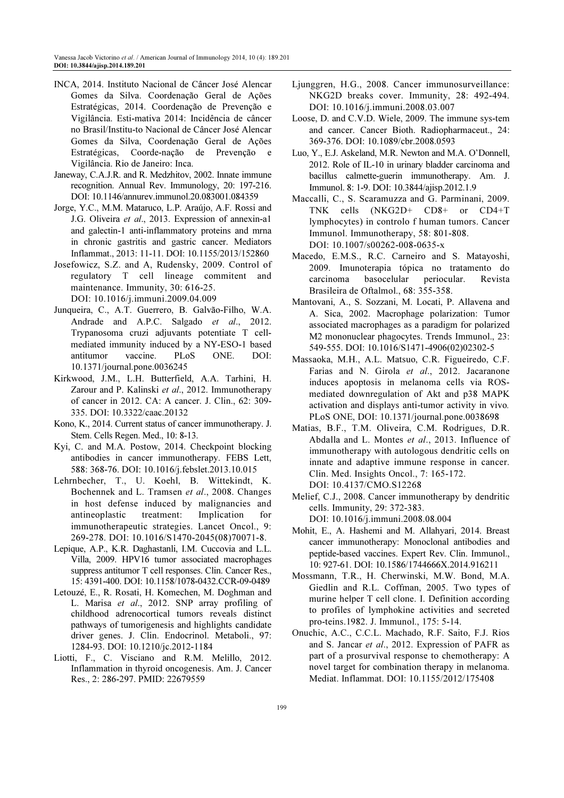- INCA, 2014. Instituto Nacional de Câncer José Alencar Gomes da Silva. Coordenação Geral de Ações Estratégicas, 2014. Coordenação de Prevenção e Vigilância. Esti-mativa 2014: Incidência de câncer no Brasil/Institu-to Nacional de Câncer José Alencar Gomes da Silva, Coordenação Geral de Ações Estratégicas, Coorde-nação de Prevenção e Vigilância. Rio de Janeiro: Inca.
- Janeway, C.A.J.R. and R. Medzhitov, 2002. Innate immune recognition. Annual Rev. Immunology, 20: 197-216. DOI: 10.1146/annurev.immunol.20.083001.084359
- Jorge, Y.C., M.M. Mataruco, L.P. Araújo, A.F. Rossi and J.G. Oliveira et al., 2013. Expression of annexin-a1 and galectin-1 anti-inflammatory proteins and mrna in chronic gastritis and gastric cancer. Mediators Inflammat., 2013: 11-11. DOI: 10.1155/2013/152860
- Josefowicz, S.Z. and A, Rudensky, 2009. Control of regulatory T cell lineage commitent and maintenance. Immunity, 30: 616-25. DOI: 10.1016/j.immuni.2009.04.009
- Junqueira, C., A.T. Guerrero, B. Galvão-Filho, W.A. Andrade and A.P.C. Salgado et al., 2012. Trypanosoma cruzi adjuvants potentiate T cellmediated immunity induced by a NY-ESO-1 based antitumor vaccine. PLoS ONE. DOI: 10.1371/journal.pone.0036245
- Kirkwood, J.M., L.H. Butterfield, A.A. Tarhini, H. Zarour and P. Kalinski et al., 2012. Immunotherapy of cancer in 2012. CA: A cancer. J. Clin., 62: 309- 335. DOI: 10.3322/caac.20132
- Kono, K., 2014. Current status of cancer immunotherapy. J. Stem. Cells Regen. Med., 10: 8-13.
- Kyi, C. and M.A. Postow, 2014. Checkpoint blocking antibodies in cancer immunotherapy. FEBS Lett, 588: 368-76. DOI: 10.1016/j.febslet.2013.10.015
- Lehrnbecher, T., U. Koehl, B. Wittekindt, K. Bochennek and L. Tramsen et al., 2008. Changes in host defense induced by malignancies and antineoplastic treatment: Implication for immunotherapeutic strategies. Lancet Oncol., 9: 269-278. DOI: 10.1016/S1470-2045(08)70071-8.
- Lepique, A.P., K.R. Daghastanli, I.M. Cuccovia and L.L. Villa, 2009. HPV16 tumor associated macrophages suppress antitumor T cell responses. Clin. Cancer Res., 15: 4391-400. DOI: 10.1158/1078-0432.CCR-09-0489
- Letouzé, E., R. Rosati, H. Komechen, M. Doghman and L. Marisa et al., 2012. SNP array profiling of childhood adrenocortical tumors reveals distinct pathways of tumorigenesis and highlights candidate driver genes. J. Clin. Endocrinol. Metaboli., 97: 1284-93. DOI: 10.1210/jc.2012-1184
- Liotti, F., C. Visciano and R.M. Melillo, 2012. Inflammation in thyroid oncogenesis. Am. J. Cancer Res., 2: 286-297. PMID: 22679559
- Ljunggren, H.G., 2008. Cancer immunosurveillance: NKG2D breaks cover. Immunity, 28: 492-494. DOI: 10.1016/j.immuni.2008.03.007
- Loose, D. and C.V.D. Wiele, 2009. The immune sys-tem and cancer. Cancer Bioth. Radiopharmaceut., 24: 369-376. DOI: 10.1089/cbr.2008.0593
- Luo, Y., E.J. Askeland, M.R. Newton and M.A. O'Donnell, 2012. Role of IL-10 in urinary bladder carcinoma and bacillus calmette-guerin immunotherapy. Am. J. Immunol. 8: 1-9. DOI: 10.3844/ajisp.2012.1.9
- Maccalli, C., S. Scaramuzza and G. Parminani, 2009. TNK cells (NKG2D+ CD8+ or CD4+T lymphocytes) in controlo f human tumors. Cancer Immunol. Immunotherapy, 58: 801-808. DOI: 10.1007/s00262-008-0635-x
- Macedo, E.M.S., R.C. Carneiro and S. Matayoshi, 2009. Imunoterapia tópica no tratamento do carcinoma basocelular periocular. Revista Brasileira de Oftalmol., 68: 355-358.
- Mantovani, A., S. Sozzani, M. Locati, P. Allavena and A. Sica, 2002. Macrophage polarization: Tumor associated macrophages as a paradigm for polarized M2 mononuclear phagocytes. Trends Immunol., 23: 549-555. DOI: 10.1016/S1471-4906(02)02302-5
- Massaoka, M.H., A.L. Matsuo, C.R. Figueiredo, C.F. Farias and N. Girola et al., 2012. Jacaranone induces apoptosis in melanoma cells via ROSmediated downregulation of Akt and p38 MAPK activation and displays anti-tumor activity in vivo. PLoS ONE, DOI: 10.1371/journal.pone.0038698
- Matias, B.F., T.M. Oliveira, C.M. Rodrigues, D.R. Abdalla and L. Montes et al., 2013. Influence of immunotherapy with autologous dendritic cells on innate and adaptive immune response in cancer. Clin. Med. Insights Oncol., 7: 165-172. DOI: 10.4137/CMO.S12268
- Melief, C.J., 2008. Cancer immunotherapy by dendritic cells. Immunity, 29: 372-383. DOI: 10.1016/j.immuni.2008.08.004
- Mohit, E., A. Hashemi and M. Allahyari, 2014. Breast cancer immunotherapy: Monoclonal antibodies and peptide-based vaccines. Expert Rev. Clin. Immunol., 10: 927-61. DOI: 10.1586/1744666X.2014.916211
- Mossmann, T.R., H. Cherwinski, M.W. Bond, M.A. Giedlin and R.L. Coffman, 2005. Two types of murine helper T cell clone. I. Definition according to profiles of lymphokine activities and secreted pro-teins.1982. J. Immunol., 175: 5-14.
- Onuchic, A.C., C.C.L. Machado, R.F. Saito, F.J. Rios and S. Jancar et al., 2012. Expression of PAFR as part of a prosurvival response to chemotherapy: A novel target for combination therapy in melanoma. Mediat. Inflammat. DOI: 10.1155/2012/175408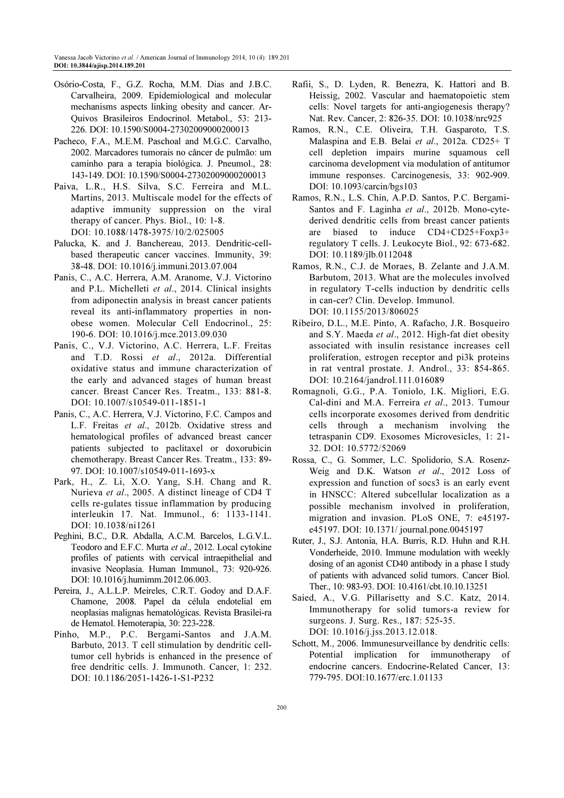- Osório-Costa, F., G.Z. Rocha, M.M. Dias and J.B.C. Carvalheira, 2009. Epidemiological and molecular mechanisms aspects linking obesity and cancer. Ar-Quivos Brasileiros Endocrinol. Metabol., 53: 213- 226. DOI: 10.1590/S0004-27302009000200013
- Pacheco, F.A., M.E.M. Paschoal and M.G.C. Carvalho, 2002. Marcadores tumorais no câncer de pulmão: um caminho para a terapia biológica. J. Pneumol., 28: 143-149. DOI: 10.1590/S0004-27302009000200013
- Paiva, L.R., H.S. Silva, S.C. Ferreira and M.L. Martins, 2013. Multiscale model for the effects of adaptive immunity suppression on the viral therapy of cancer. Phys. Biol., 10: 1-8. DOI: 10.1088/1478-3975/10/2/025005
- Palucka, K. and J. Banchereau, 2013. Dendritic-cellbased therapeutic cancer vaccines. Immunity, 39: 38-48. DOI: 10.1016/j.immuni.2013.07.004
- Panis, C., A.C. Herrera, A.M. Aranome, V.J. Victorino and P.L. Michelleti et al., 2014. Clinical insights from adiponectin analysis in breast cancer patients reveal its anti-inflammatory properties in nonobese women. Molecular Cell Endocrinol., 25: 190-6. DOI: 10.1016/j.mce.2013.09.030
- Panis, C., V.J. Victorino, A.C. Herrera, L.F. Freitas and T.D. Rossi et al., 2012a. Differential oxidative status and immune characterization of the early and advanced stages of human breast cancer. Breast Cancer Res. Treatm., 133: 881-8. DOI: 10.1007/s10549-011-1851-1
- Panis, C., A.C. Herrera, V.J. Victorino, F.C. Campos and L.F. Freitas et al., 2012b. Oxidative stress and hematological profiles of advanced breast cancer patients subjected to paclitaxel or doxorubicin chemotherapy. Breast Cancer Res. Treatm., 133: 89- 97. DOI: 10.1007/s10549-011-1693-x
- Park, H., Z. Li, X.O. Yang, S.H. Chang and R. Nurieva et al., 2005. A distinct lineage of CD4 T cells re-gulates tissue inflammation by producing interleukin 17. Nat. Immunol., 6: 1133-1141. DOI: 10.1038/ni1261
- Peghini, B.C., D.R. Abdalla, A.C.M. Barcelos, L.G.V.L. Teodoro and E.F.C. Murta et al., 2012. Local cytokine profiles of patients with cervical intraepithelial and invasive Neoplasia. Human Immunol., 73: 920-926. DOI: 10.1016/j.humimm.2012.06.003.
- Pereira, J., A.L.L.P. Meireles, C.R.T. Godoy and D.A.F. Chamone, 2008. Papel da célula endotelial em neoplasias malignas hematológicas. Revista Brasilei-ra de Hematol. Hemoterapia, 30: 223-228.
- Pinho, M.P., P.C. Bergami-Santos and J.A.M. Barbuto, 2013. T cell stimulation by dendritic celltumor cell hybrids is enhanced in the presence of free dendritic cells. J. Immunoth. Cancer, 1: 232. DOI: 10.1186/2051-1426-1-S1-P232
- Rafii, S., D. Lyden, R. Benezra, K. Hattori and B. Heissig, 2002. Vascular and haematopoietic stem cells: Novel targets for anti-angiogenesis therapy? Nat. Rev. Cancer, 2: 826-35. DOI: 10.1038/nrc925
- Ramos, R.N., C.E. Oliveira, T.H. Gasparoto, T.S. Malaspina and E.B. Belai et al., 2012a. CD25+ T cell depletion impairs murine squamous cell carcinoma development via modulation of antitumor immune responses. Carcinogenesis, 33: 902-909. DOI: 10.1093/carcin/bgs103
- Ramos, R.N., L.S. Chin, A.P.D. Santos, P.C. Bergami-Santos and F. Laginha et al., 2012b. Mono-cytederived dendritic cells from breast cancer patients are biased to induce CD4+CD25+Foxp3+ regulatory T cells. J. Leukocyte Biol., 92: 673-682. DOI: 10.1189/jlb.0112048
- Ramos, R.N., C.J. de Moraes, B. Zelante and J.A.M. Barbutom, 2013. What are the molecules involved in regulatory T-cells induction by dendritic cells in can-cer? Clin. Develop. Immunol. DOI: 10.1155/2013/806025
- Ribeiro, D.L., M.E. Pinto, A. Rafacho, J.R. Bosqueiro and S.Y. Maeda et al., 2012. High-fat diet obesity associated with insulin resistance increases cell proliferation, estrogen receptor and pi3k proteins in rat ventral prostate. J. Androl., 33: 854-865. DOI: 10.2164/jandrol.111.016089
- Romagnoli, G.G., P.A. Toniolo, I.K. Migliori, E.G. Cal-dini and M.A. Ferreira et al., 2013. Tumour cells incorporate exosomes derived from dendritic cells through a mechanism involving the tetraspanin CD9. Exosomes Microvesicles, 1: 21- 32. DOI: 10.5772/52069
- Rossa, C., G. Sommer, L.C. Spolidorio, S.A. Rosenz-Weig and D.K. Watson et al., 2012 Loss of expression and function of socs3 is an early event in HNSCC: Altered subcellular localization as a possible mechanism involved in proliferation, migration and invasion. PLoS ONE, 7: e45197 e45197. DOI: 10.1371/ journal.pone.0045197
- Ruter, J., S.J. Antonia, H.A. Burris, R.D. Huhn and R.H. Vonderheide, 2010. Immune modulation with weekly dosing of an agonist CD40 antibody in a phase I study of patients with advanced solid tumors. Cancer Biol. Ther., 10: 983-93. DOI: 10.4161/cbt.10.10.13251
- Saied, A., V.G. Pillarisetty and S.C. Katz, 2014. Immunotherapy for solid tumors-a review for surgeons. J. Surg. Res., 187: 525-35. DOI: 10.1016/j.jss.2013.12.018.
- Schott, M., 2006. Immunesurveillance by dendritic cells: Potential implication for immunotherapy of endocrine cancers. Endocrine-Related Cancer, 13: 779-795. DOI:10.1677/erc.1.01133